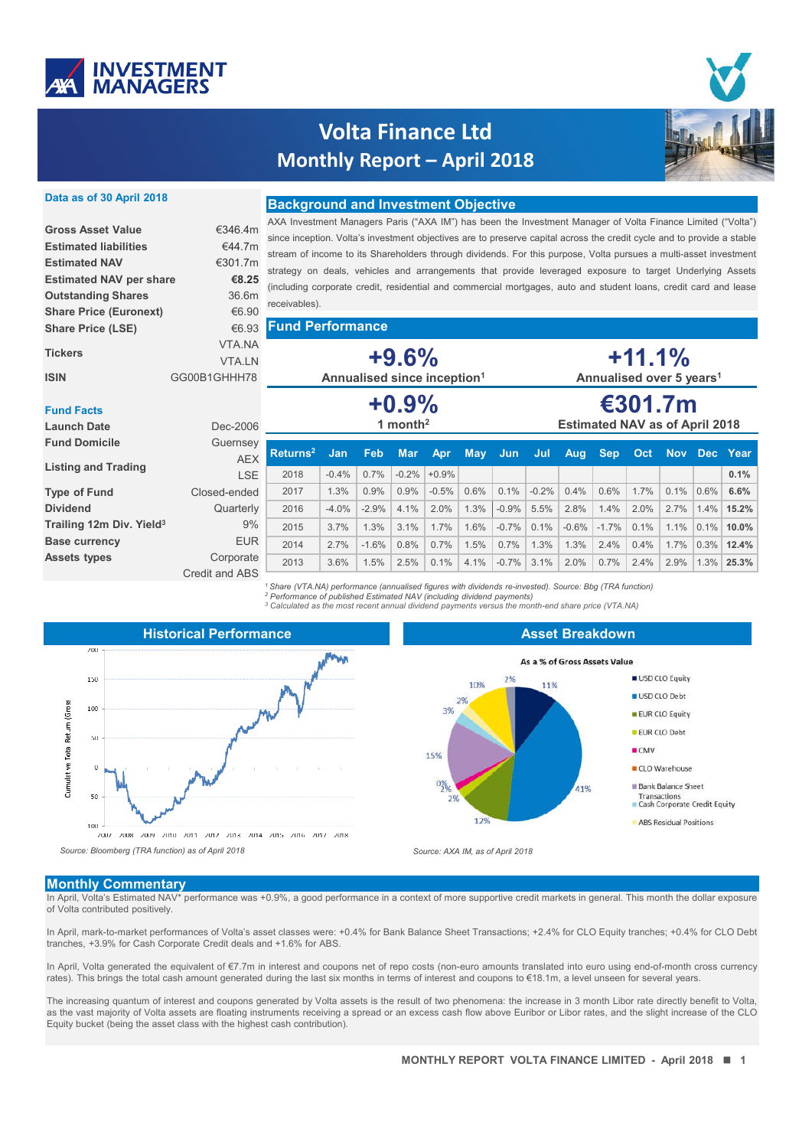

# **Volta Finance Ltd Monthly Report – April 2018**



### **Data as of 30 April 2018**

| <b>Gross Asset Value</b>       | €346 4m       |
|--------------------------------|---------------|
| <b>Estimated liabilities</b>   | €44 7m        |
| <b>Estimated NAV</b>           | €301 7m       |
| <b>Estimated NAV per share</b> | €8.25         |
| <b>Outstanding Shares</b>      | 36.6m         |
| <b>Share Price (Euronext)</b>  | €6.90         |
| <b>Share Price (LSE)</b>       | €6.93         |
| <b>Tickers</b>                 | <b>VTA NA</b> |
|                                | <b>VTAIN</b>  |
| ISIN                           | GG00B1GHHH78  |

### **Background and Investment Objective**

AXA Investment Managers Paris ("AXA IM") has been the Investment Manager of Volta Finance Limited ("Volta") since inception. Volta's investment objectives are to preserve capital across the credit cycle and to provide a stable stream of income to its Shareholders through dividends. For this purpose, Volta pursues a multi-asset investment strategy on deals, vehicles and arrangements that provide leveraged exposure to target Underlying Assets (including corporate credit, residential and commercial mortgages, auto and student loans, credit card and lease receivables).

### **Fund Performance**

**+9.6% +0.9%** VTA.NA VTA.LN

**Annualised since inception1**

# **+11.1% Annualised over 5 years1**

**€301.7m**

### **Fund Facts**

| <b>Launch Date</b>                   | Dec-2006                    | 1 month <sup>2</sup>     |         |         |            |         |            | <b>Estimated NAV as of April 2018</b> |         |         |            |      |      |           |              |
|--------------------------------------|-----------------------------|--------------------------|---------|---------|------------|---------|------------|---------------------------------------|---------|---------|------------|------|------|-----------|--------------|
| <b>Fund Domicile</b>                 | Guernsey<br><b>AEX</b>      | Returns <sup>2</sup> Jan |         | Feb.    | <b>Mar</b> | Apr     | <b>May</b> | Jun                                   | Jul     | Aug     | <b>Sep</b> | Oct  |      |           | Nov Dec Year |
| <b>Listing and Trading</b>           | <b>LSE</b>                  | 2018                     | $-0.4%$ | 0.7%    | $-0.2%$    | $+0.9%$ |            |                                       |         |         |            |      |      |           | 0.1%         |
| <b>Type of Fund</b>                  | Closed-ended                | 2017                     | 1.3%    | 0.9%    | 0.9%       | $-0.5%$ | 0.6%       | 0.1%                                  | $-0.2%$ | 0.4%    | 0.6%       | 1.7% | 0.1% | $0.6\%$   | 6.6%         |
| <b>Dividend</b>                      | Quarterly                   | 2016                     | $-4.0%$ | $-2.9%$ | $4.1\%$    | $2.0\%$ | 1.3%       | $-0.9%$                               | 5.5%    | 2.8%    | 1.4%       | 2.0% | 2.7% | $1.4\%$   | 15.2%        |
| Trailing 12m Div. Yield <sup>3</sup> | 9%                          | 2015                     | 3.7%    | 1.3%    | $3.1\%$    | 1.7%    | 1.6%       | $-0.7%$                               | 0.1%    | $-0.6%$ | $-1.7\%$   | 0.1% | 1.1% | $ 0.1\% $ | $10.0\%$     |
| <b>Base currency</b>                 | <b>EUR</b>                  | 2014                     | 2.7%    | $-1.6%$ | 0.8%       | $0.7\%$ | 1.5%       | 0.7%                                  | 1.3%    | 1.3%    | 2.4%       | 0.4% | 1.7% | $0.3\%$   | 12.4%        |
| <b>Assets types</b>                  | Corporate<br>Credit and ABS | 2013                     | 3.6%    | 1.5%    | 2.5%       | 0.1%    | 4.1%       | $-0.7%$                               | 3.1%    | 2.0%    | 0.7%       | 2.4% | 2.9% | $1.3\%$   | 25.3%        |

*<sup>1</sup> Share (VTA.NA) performance (annualised figures with dividends re-invested). Source: Bbg (TRA function) <sup>2</sup> Performance of published Estimated NAV (including dividend payments)*

*<sup>3</sup> Calculated as the most recent annual dividend payments versus the month-end share price (VTA.NA)*



#### **Asset Breakdown**



#### **Monthly Commentary**

In April, Volta's Estimated NAV\* performance was +0.9%, a good performance in a context of more supportive credit markets in general. This month the dollar exposure of Volta contributed positively.

In April, mark-to-market performances of Volta's asset classes were: +0.4% for Bank Balance Sheet Transactions; +2.4% for CLO Equity tranches; +0.4% for CLO Debt tranches, +3.9% for Cash Corporate Credit deals and +1.6% for ABS.

In April, Volta generated the equivalent of €7.7m in interest and coupons net of repo costs (non-euro amounts translated into euro using end-of-month cross currency rates). This brings the total cash amount generated during the last six months in terms of interest and coupons to €18.1m, a level unseen for several years.

Equity bucket (being the asset class with the highest cash contribution). The increasing quantum of interest and coupons generated by Volta assets is the result of two phenomena: the increase in 3 month Libor rate directly benefit to Volta, as the vast majority of Volta assets are floating instruments receiving a spread or an excess cash flow above Euribor or Libor rates, and the slight increase of the CLO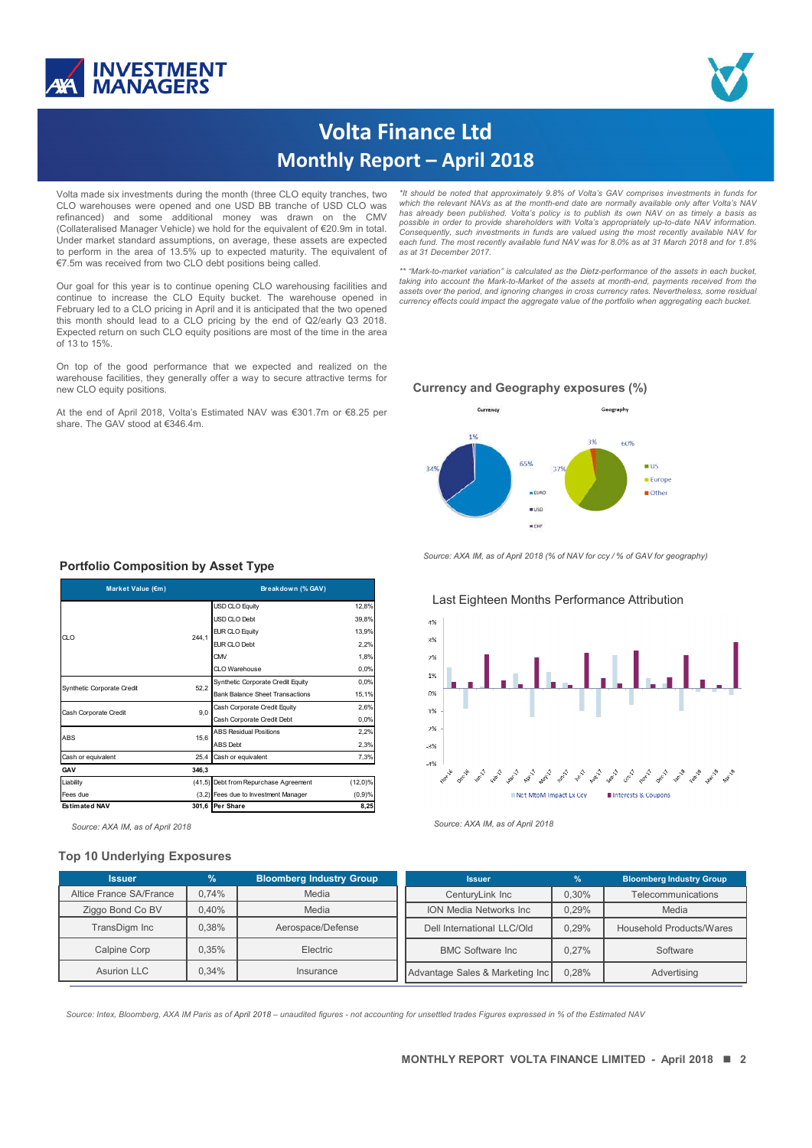



# **Volta Finance Ltd Monthly Report – April 2018**

Volta made six investments during the month (three CLO equity tranches, two CLO warehouses were opened and one USD BB tranche of USD CLO was refinanced) and some additional money was drawn on the CMV (Collateralised Manager Vehicle) we hold for the equivalent of €20.9m in total. Under market standard assumptions, on average, these assets are expected to perform in the area of 13.5% up to expected maturity. The equivalent of €7.5m was received from two CLO debt positions being called.

Our goal for this year is to continue opening CLO warehousing facilities and continue to increase the CLO Equity bucket. The warehouse opened in February led to a CLO pricing in April and it is anticipated that the two opened this month should lead to a CLO pricing by the end of Q2/early Q3 2018. Expected return on such CLO equity positions are most of the time in the area of 13 to 15%.

On top of the good performance that we expected and realized on the warehouse facilities, they generally offer a way to secure attractive terms for new CLO equity positions.

At the end of April 2018, Volta's Estimated NAV was €301.7m or €8.25 per share. The GAV stood at €346.4m.

*\*It should be noted that approximately 9.8% of Volta's GAV comprises investments in funds for which the relevant NAVs as at the month-end date are normally available only after Volta's NAV* has already been published. Volta's policy is to publish its own NAV on as timely a basis as<br>possible in order to provide shareholders with Volta's appropriately up-to-date NAV information. *Consequently, such investments in funds are valued using the most recently available NAV for* each fund. The most recently available fund NAV was for 8.0% as at 31 March 2018 and for 1.8% *as at 31 December 2017.*

*\*\* "Mark-to-market variation" is calculated as the Dietz-performance of the assets in each bucket, taking into account the Mark-to-Market of the assets at month-end, payments received from the assets over the period, and ignoring changes in cross currency rates. Nevertheless, some residual currency effects could impact the aggregate value of the portfolio when aggregating each bucket.*

### **Currency and Geography exposures (%)**



*Source: AXA IM, as of April 2018 (% of NAV for ccy / % of GAV for geography)*

## Last Eighteen Months Performance Attribution 4%  $3%$  $2%$  $1%$  $0<sup>9</sup>$  $1%$  $-2%$  $\overline{\mathcal{R}}$  $A^{q}$ أنجي المحمد المحمد المحمد المحمد المحمد المحمد المحمد المحمد المحمد المحمد المحمد المحمد المحمد المحمد المحمد المحمد المحمد المحمد المحمد Net MtoM Impact Ex Cov Ill Interests & Coupons

### **Portfolio Composition by Asset Type**

| Market Value (€m)          |       | Breakdown (% GAV)                      |            |  |  |
|----------------------------|-------|----------------------------------------|------------|--|--|
|                            | 244.1 | <b>USD CLO Equity</b>                  | 12,8%      |  |  |
|                            |       | USD CLO Debt                           | 39,8%      |  |  |
| CLO                        |       | EUR CLO Equity                         | 13,9%      |  |  |
|                            |       | EUR CLO Debt                           | 2,2%       |  |  |
|                            |       | CMV                                    | 1,8%       |  |  |
|                            |       | CLO Warehouse                          | 0,0%       |  |  |
| Synthetic Corporate Credit | 52,2  | Synthetic Corporate Credit Equity      | 0,0%       |  |  |
|                            |       | <b>Bank Balance Sheet Transactions</b> | 15,1%      |  |  |
| Cash Corporate Credit      | 9.0   | Cash Corporate Credit Equity           | 2,6%       |  |  |
|                            |       | Cash Corporate Credit Debt             | 0,0%       |  |  |
| ABS                        | 15,6  | <b>ABS Residual Positions</b>          | 2,2%       |  |  |
|                            |       | <b>ABS</b> Debt                        | 2,3%       |  |  |
| Cash or equivalent         | 25.4  | Cash or equivalent                     | 7,3%       |  |  |
| <b>GAV</b>                 | 346,3 |                                        |            |  |  |
| Liability                  |       | (41,5) Debt from Repurchase Agreement  | $(12,0)\%$ |  |  |
| Fees due                   |       | (3,2) Fees due to Investment Manager   | $(0,9)$ %  |  |  |
| <b>Estimated NAV</b>       | 301,6 | Per Share                              | 8,25       |  |  |

*Source: AXA IM, as of April 2018 Source: AXA IM, as of April 2018*

#### **Top 10 Underlying Exposures**

| <b>Issuer</b>           | $\%$  | <b>Bloomberg Industry Group</b> | <b>Issuer</b>                   | $\frac{9}{6}$ | <b>Bloomberg Industry Group</b> |  |
|-------------------------|-------|---------------------------------|---------------------------------|---------------|---------------------------------|--|
| Altice France SA/France | 0.74% | Media                           | CenturyLink Inc                 | 0.30%         | Telecommunications              |  |
| Ziggo Bond Co BV        | 0.40% | Media                           | <b>ION Media Networks Inc.</b>  | 0.29%         | Media                           |  |
| TransDigm Inc           | 0.38% | Aerospace/Defense               | Dell International LLC/Old      | 0.29%         | <b>Household Products/Wares</b> |  |
| Calpine Corp            | 0.35% | Electric                        | <b>BMC Software Inc.</b>        | 0.27%         | Software                        |  |
| Asurion LLC             | 0.34% | Insurance                       | Advantage Sales & Marketing Inc | 0.28%         | Advertising                     |  |

**RESTRICTED** *Source: Intex, Bloomberg, AXA IM Paris as of April 2018 – unaudited figures - not accounting for unsettled trades Figures expressed in % of the Estimated NAV*